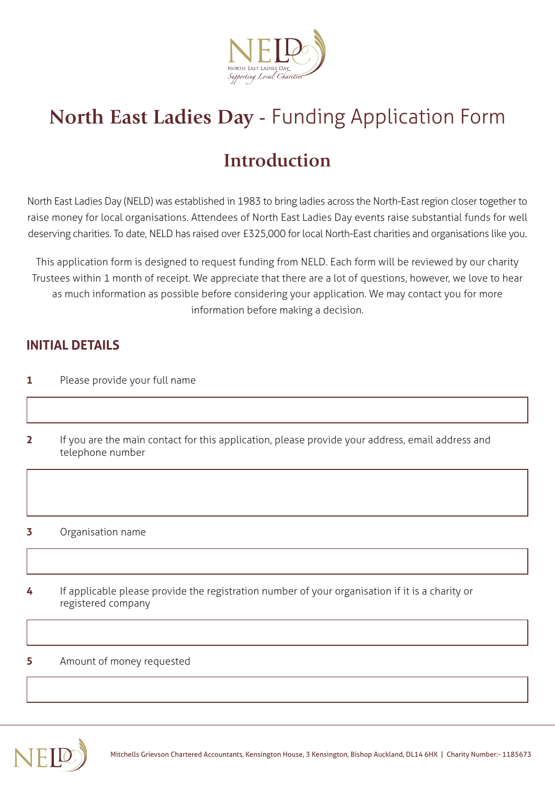

# **North East Ladies Day -** Funding Application Form

## **Introduction**

North East Ladies Day (NELD) was established in 1983 to bring ladies across the North-East region closer together to raise money for local organisations. Attendees of North East Ladies Day events raise substantial funds for well deserving charities. To date, NELD has raised over £325,000 for local North-East charities and organisations like you.

This application form is designed to request funding from NELD. Each form will be reviewed by our charity Trustees within 1 month of receipt. We appreciate that there are a lot of questions, however, we love to hear as much information as possible before considering your application. We may contact you for more information before making a decision.

### **INITIAL DETAILS**

- **1** Please provide your full name
- **2** If you are the main contact for this application, please provide your address, email address and telephone number

#### **3** Organisation name

**4** If applicable please provide the registration number of your organisation if it is a charity or registered company

#### **5** Amount of money requested

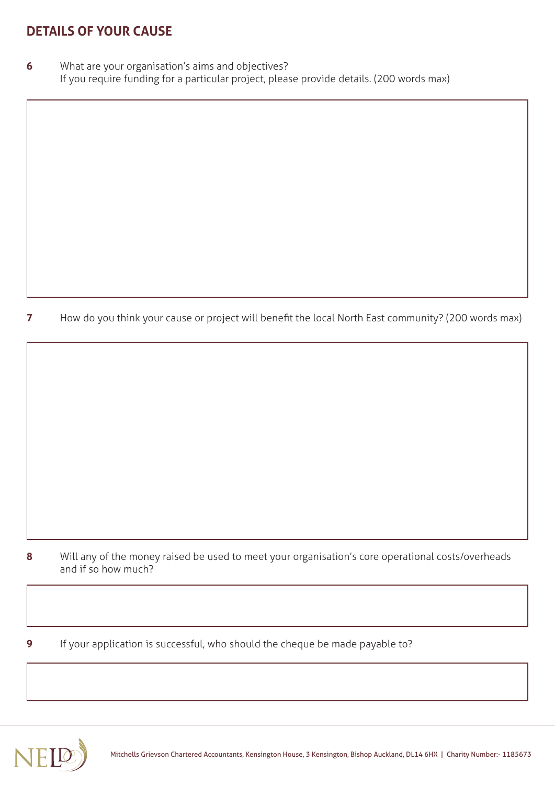## **DETAILS OF YOUR CAUSE**

**6** What are your organisation's aims and objectives? If you require funding for a particular project, please provide details. (200 words max)

**7** How do you think your cause or project will benefit the local North East community? (200 words max)

- **8** Will any of the money raised be used to meet your organisation's core operational costs/overheads and if so how much?
- **9** If your application is successful, who should the cheque be made payable to?